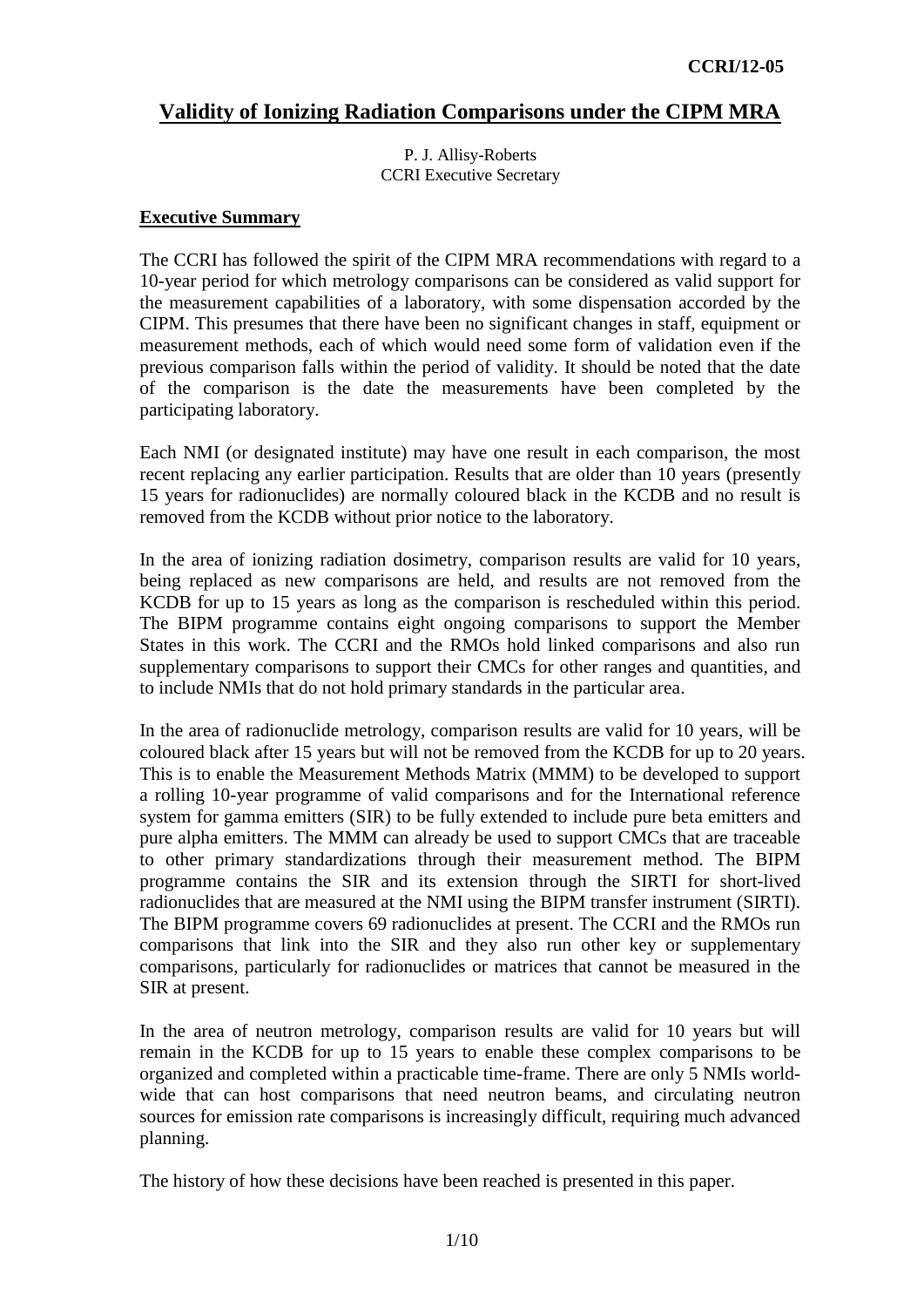# **Validity of Ionizing Radiation Comparisons under the CIPM MRA**

P. J. Allisy-Roberts CCRI Executive Secretary

#### **Executive Summary**

The CCRI has followed the spirit of the CIPM MRA recommendations with regard to a 10-year period for which metrology comparisons can be considered as valid support for the measurement capabilities of a laboratory, with some dispensation accorded by the CIPM. This presumes that there have been no significant changes in staff, equipment or measurement methods, each of which would need some form of validation even if the previous comparison falls within the period of validity. It should be noted that the date of the comparison is the date the measurements have been completed by the participating laboratory.

Each NMI (or designated institute) may have one result in each comparison, the most recent replacing any earlier participation. Results that are older than 10 years (presently 15 years for radionuclides) are normally coloured black in the KCDB and no result is removed from the KCDB without prior notice to the laboratory.

In the area of ionizing radiation dosimetry, comparison results are valid for 10 years, being replaced as new comparisons are held, and results are not removed from the KCDB for up to 15 years as long as the comparison is rescheduled within this period. The BIPM programme contains eight ongoing comparisons to support the Member States in this work. The CCRI and the RMOs hold linked comparisons and also run supplementary comparisons to support their CMCs for other ranges and quantities, and to include NMIs that do not hold primary standards in the particular area.

In the area of radionuclide metrology, comparison results are valid for 10 years, will be coloured black after 15 years but will not be removed from the KCDB for up to 20 years. This is to enable the Measurement Methods Matrix (MMM) to be developed to support a rolling 10-year programme of valid comparisons and for the International reference system for gamma emitters (SIR) to be fully extended to include pure beta emitters and pure alpha emitters. The MMM can already be used to support CMCs that are traceable to other primary standardizations through their measurement method. The BIPM programme contains the SIR and its extension through the SIRTI for short-lived radionuclides that are measured at the NMI using the BIPM transfer instrument (SIRTI). The BIPM programme covers 69 radionuclides at present. The CCRI and the RMOs run comparisons that link into the SIR and they also run other key or supplementary comparisons, particularly for radionuclides or matrices that cannot be measured in the SIR at present.

In the area of neutron metrology, comparison results are valid for 10 years but will remain in the KCDB for up to 15 years to enable these complex comparisons to be organized and completed within a practicable time-frame. There are only 5 NMIs worldwide that can host comparisons that need neutron beams, and circulating neutron sources for emission rate comparisons is increasingly difficult, requiring much advanced planning.

The history of how these decisions have been reached is presented in this paper.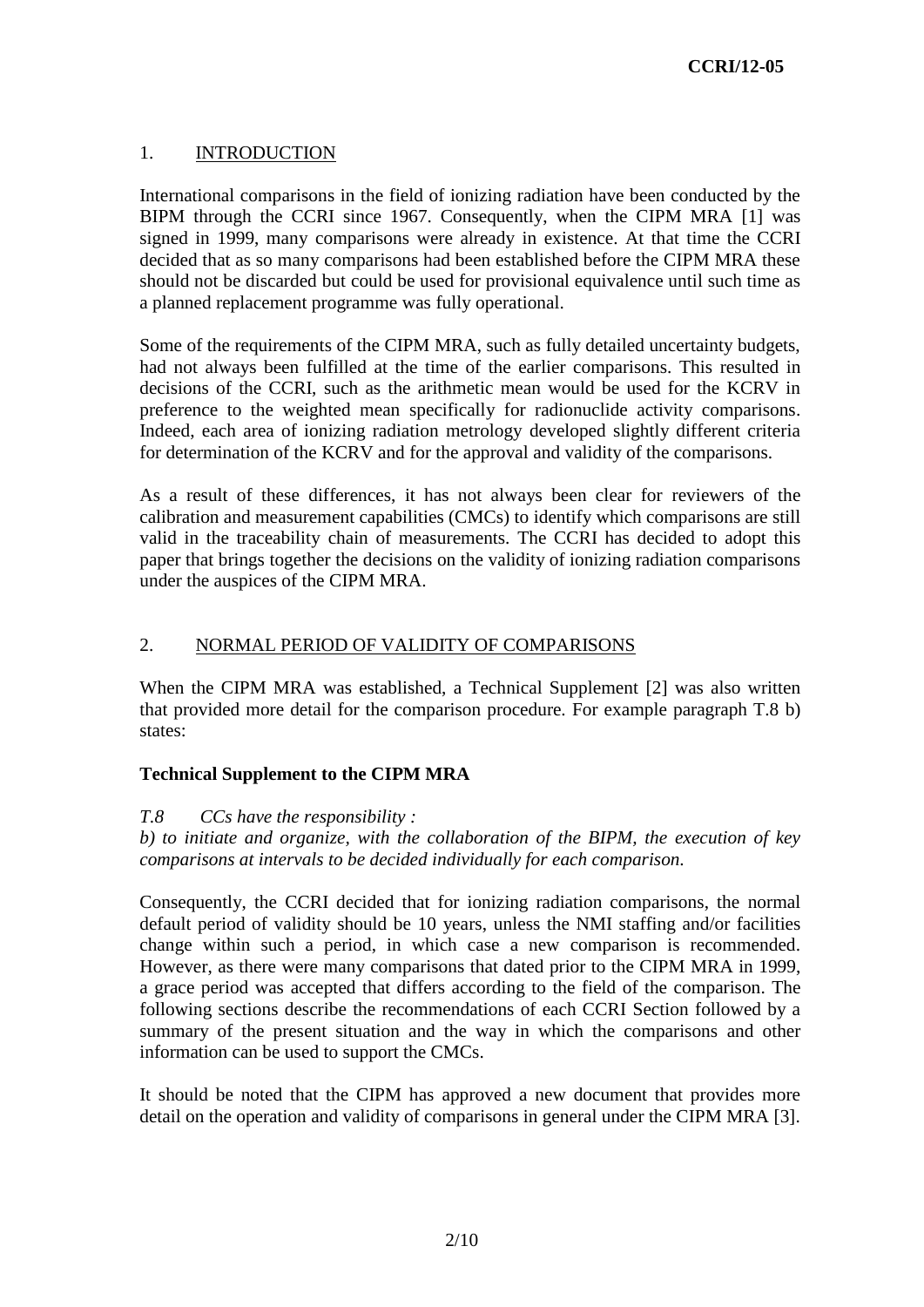# 1. INTRODUCTION

International comparisons in the field of ionizing radiation have been conducted by the BIPM through the CCRI since 1967. Consequently, when the CIPM MRA [\[1\]](#page-9-0) was signed in 1999, many comparisons were already in existence. At that time the CCRI decided that as so many comparisons had been established before the CIPM MRA these should not be discarded but could be used for provisional equivalence until such time as a planned replacement programme was fully operational.

Some of the requirements of the CIPM MRA, such as fully detailed uncertainty budgets, had not always been fulfilled at the time of the earlier comparisons. This resulted in decisions of the CCRI, such as the arithmetic mean would be used for the KCRV in preference to the weighted mean specifically for radionuclide activity comparisons. Indeed, each area of ionizing radiation metrology developed slightly different criteria for determination of the KCRV and for the approval and validity of the comparisons.

As a result of these differences, it has not always been clear for reviewers of the calibration and measurement capabilities (CMCs) to identify which comparisons are still valid in the traceability chain of measurements. The CCRI has decided to adopt this paper that brings together the decisions on the validity of ionizing radiation comparisons under the auspices of the CIPM MRA.

# 2. NORMAL PERIOD OF VALIDITY OF COMPARISONS

When the CIPM MRA was established, a Technical Supplement [\[2\]](#page-9-1) was also written that provided more detail for the comparison procedure. For example paragraph T.8 b) states:

# **Technical Supplement to the CIPM MRA**

#### *T.8 CCs have the responsibility :*

*b) to initiate and organize, with the collaboration of the BIPM, the execution of key comparisons at intervals to be decided individually for each comparison.*

Consequently, the CCRI decided that for ionizing radiation comparisons, the normal default period of validity should be 10 years, unless the NMI staffing and/or facilities change within such a period, in which case a new comparison is recommended. However, as there were many comparisons that dated prior to the CIPM MRA in 1999, a grace period was accepted that differs according to the field of the comparison. The following sections describe the recommendations of each CCRI Section followed by a summary of the present situation and the way in which the comparisons and other information can be used to support the CMCs.

It should be noted that the CIPM has approved a new document that provides more detail on the operation and validity of comparisons in general under the CIPM MRA [\[3\].](#page-9-2)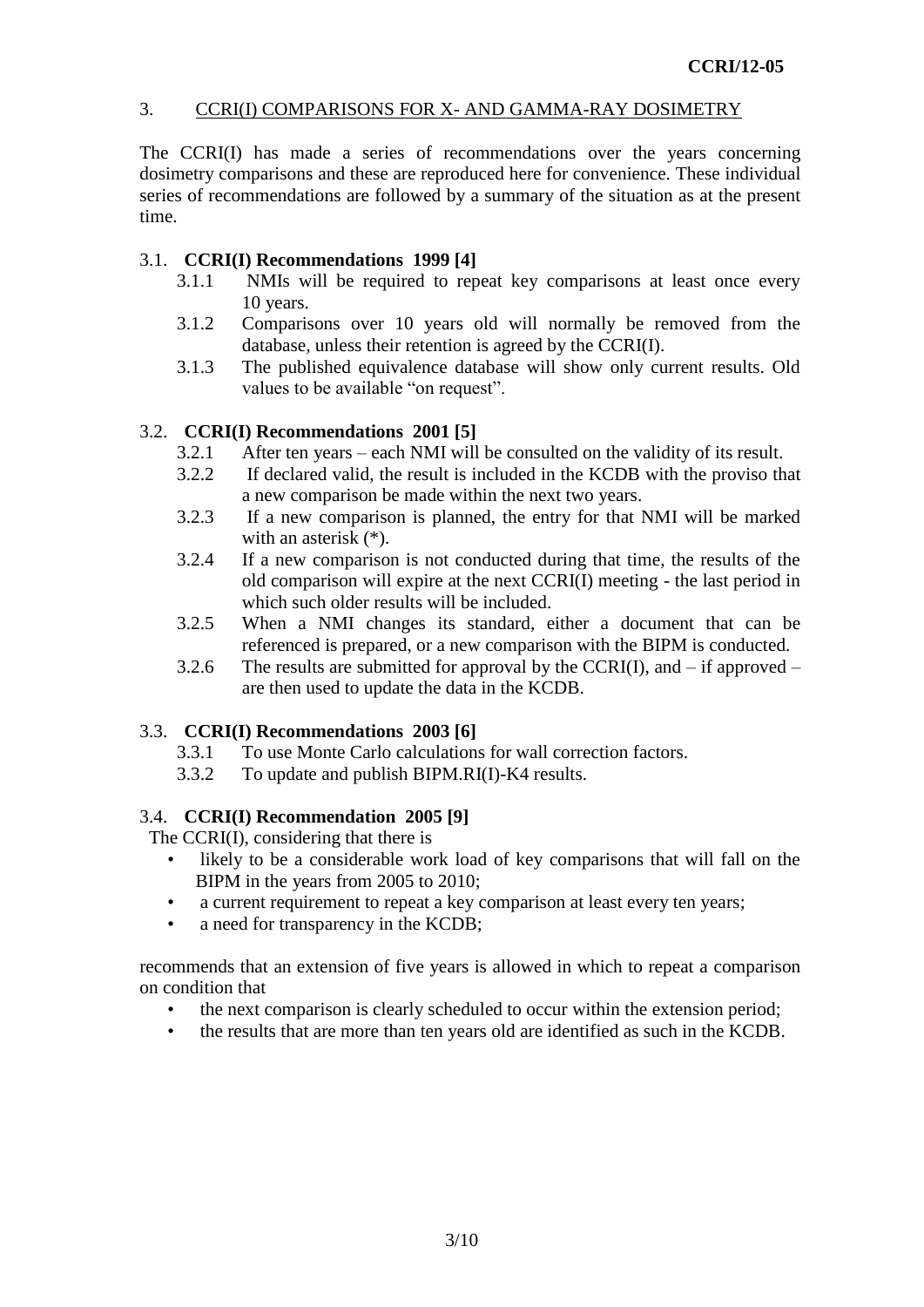### 3. CCRI(I) COMPARISONS FOR X- AND GAMMA-RAY DOSIMETRY

The CCRI(I) has made a series of recommendations over the years concerning dosimetry comparisons and these are reproduced here for convenience. These individual series of recommendations are followed by a summary of the situation as at the present time.

### 3.1. **CCRI(I) Recommendations 1999 [\[4\]](#page-9-3)**

- 3.1.1 NMIs will be required to repeat key comparisons at least once every 10 years.
- 3.1.2 Comparisons over 10 years old will normally be removed from the database, unless their retention is agreed by the CCRI(I).
- 3.1.3 The published equivalence database will show only current results. Old values to be available "on request".

### 3.2. **CCRI(I) Recommendations 2001 [\[5\]](#page-9-4)**

- 3.2.1 After ten years each NMI will be consulted on the validity of its result.
- 3.2.2 If declared valid, the result is included in the KCDB with the proviso that a new comparison be made within the next two years.
- 3.2.3 If a new comparison is planned, the entry for that NMI will be marked with an asterisk (\*).
- 3.2.4 If a new comparison is not conducted during that time, the results of the old comparison will expire at the next CCRI(I) meeting - the last period in which such older results will be included.
- 3.2.5 When a NMI changes its standard, either a document that can be referenced is prepared, or a new comparison with the BIPM is conducted.
- 3.2.6 The results are submitted for approval by the CCRI(I), and  $-$  if approved  $$ are then used to update the data in the KCDB.

# 3.3. **CCRI(I) Recommendations 2003 [\[6\]](#page-9-5)**

- 3.3.1 To use Monte Carlo calculations for wall correction factors.
- 3.3.2 To update and publish BIPM.RI(I)-K4 results.

#### 3.4. **CCRI(I) Recommendation 2005 [\[9\]](#page-9-6)**

The CCRI(I), considering that there is

- likely to be a considerable work load of key comparisons that will fall on the BIPM in the years from 2005 to 2010;
- a current requirement to repeat a key comparison at least every ten years;
- a need for transparency in the KCDB;

recommends that an extension of five years is allowed in which to repeat a comparison on condition that

- the next comparison is clearly scheduled to occur within the extension period;
- the results that are more than ten years old are identified as such in the KCDB.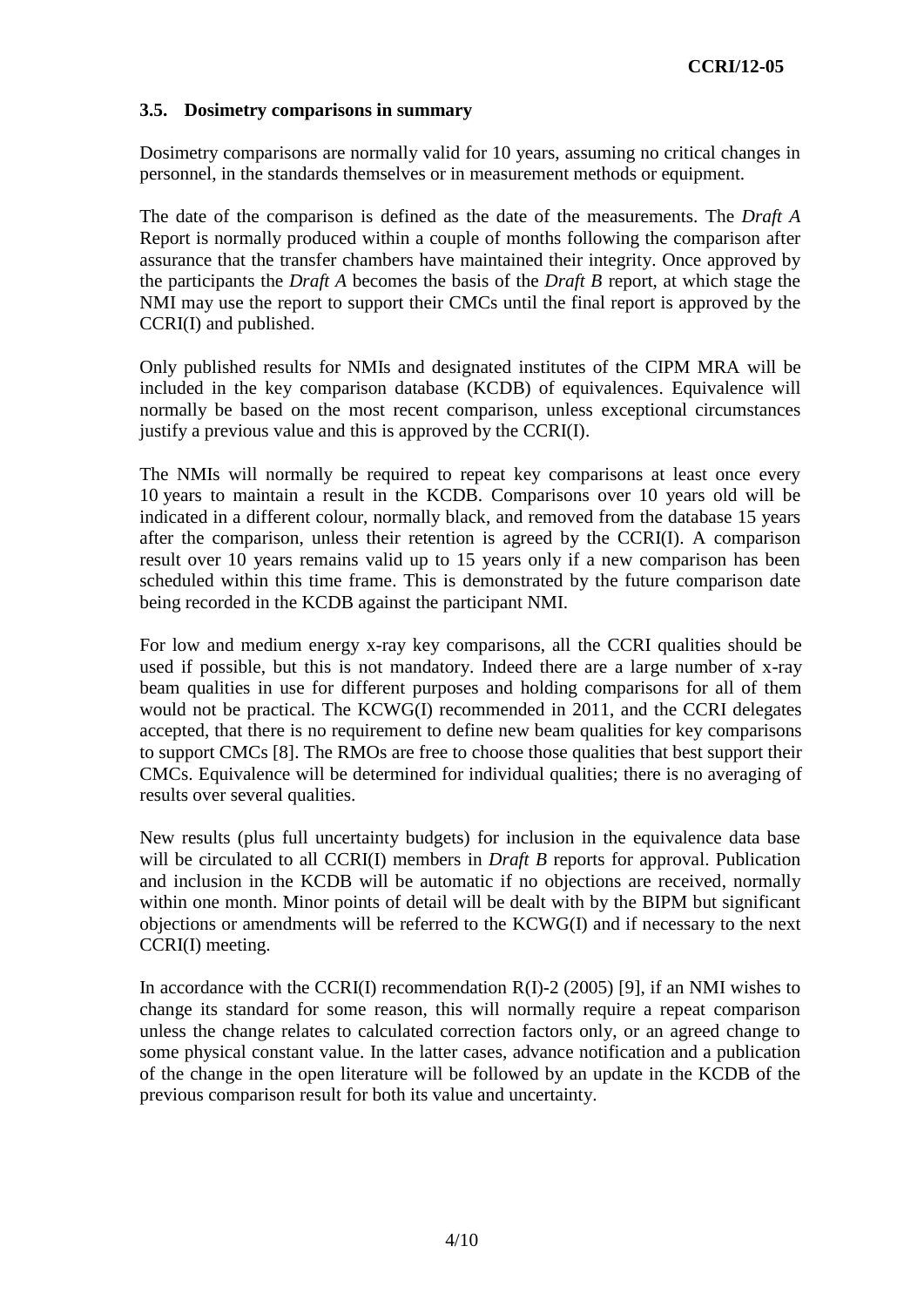### **3.5. Dosimetry comparisons in summary**

Dosimetry comparisons are normally valid for 10 years, assuming no critical changes in personnel, in the standards themselves or in measurement methods or equipment.

The date of the comparison is defined as the date of the measurements. The *Draft A* Report is normally produced within a couple of months following the comparison after assurance that the transfer chambers have maintained their integrity. Once approved by the participants the *Draft A* becomes the basis of the *Draft B* report, at which stage the NMI may use the report to support their CMCs until the final report is approved by the CCRI(I) and published.

Only published results for NMIs and designated institutes of the CIPM MRA will be included in the key comparison database (KCDB) of equivalences. Equivalence will normally be based on the most recent comparison, unless exceptional circumstances justify a previous value and this is approved by the CCRI(I).

The NMIs will normally be required to repeat key comparisons at least once every 10 years to maintain a result in the KCDB. Comparisons over 10 years old will be indicated in a different colour, normally black, and removed from the database 15 years after the comparison, unless their retention is agreed by the CCRI(I). A comparison result over 10 years remains valid up to 15 years only if a new comparison has been scheduled within this time frame. This is demonstrated by the future comparison date being recorded in the KCDB against the participant NMI.

For low and medium energy x-ray key comparisons, all the CCRI qualities should be used if possible, but this is not mandatory. Indeed there are a large number of x-ray beam qualities in use for different purposes and holding comparisons for all of them would not be practical. The KCWG(I) recommended in 2011, and the CCRI delegates accepted, that there is no requirement to define new beam qualities for key comparisons to support CMCs [\[8\].](#page-9-7) The RMOs are free to choose those qualities that best support their CMCs. Equivalence will be determined for individual qualities; there is no averaging of results over several qualities.

New results (plus full uncertainty budgets) for inclusion in the equivalence data base will be circulated to all CCRI(I) members in *Draft B* reports for approval. Publication and inclusion in the KCDB will be automatic if no objections are received, normally within one month. Minor points of detail will be dealt with by the BIPM but significant objections or amendments will be referred to the KCWG(I) and if necessary to the next CCRI(I) meeting.

In accordance with the CCRI(I) recommendation  $R(I)-2$  (2005) [\[9\],](#page-9-8) if an NMI wishes to change its standard for some reason, this will normally require a repeat comparison unless the change relates to calculated correction factors only, or an agreed change to some physical constant value. In the latter cases, advance notification and a publication of the change in the open literature will be followed by an update in the KCDB of the previous comparison result for both its value and uncertainty.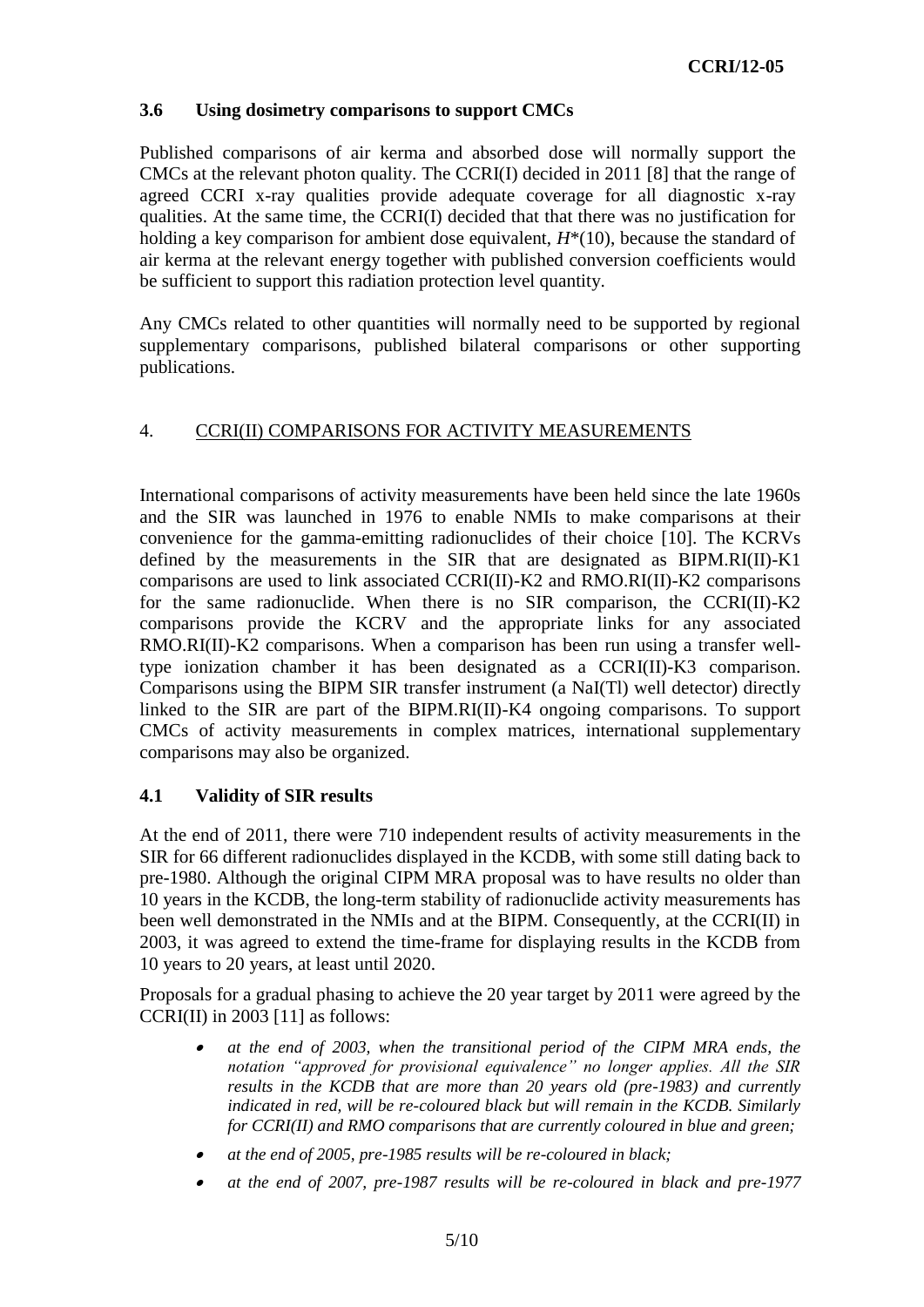# **3.6 Using dosimetry comparisons to support CMCs**

Published comparisons of air kerma and absorbed dose will normally support the CMCs at the relevant photon quality. The CCRI(I) decided in 2011 [\[8\]](#page-9-7) that the range of agreed CCRI x-ray qualities provide adequate coverage for all diagnostic x-ray qualities. At the same time, the CCRI(I) decided that that there was no justification for holding a key comparison for ambient dose equivalent,  $H^*(10)$ , because the standard of air kerma at the relevant energy together with published conversion coefficients would be sufficient to support this radiation protection level quantity.

Any CMCs related to other quantities will normally need to be supported by regional supplementary comparisons, published bilateral comparisons or other supporting publications.

# 4. CCRI(II) COMPARISONS FOR ACTIVITY MEASUREMENTS

International comparisons of activity measurements have been held since the late 1960s and the SIR was launched in 1976 to enable NMIs to make comparisons at their convenience for the gamma-emitting radionuclides of their choice [\[10\].](#page-9-9) The KCRVs defined by the measurements in the SIR that are designated as BIPM.RI(II)-K1 comparisons are used to link associated CCRI(II)-K2 and RMO.RI(II)-K2 comparisons for the same radionuclide. When there is no SIR comparison, the CCRI(II)-K2 comparisons provide the KCRV and the appropriate links for any associated RMO.RI(II)-K2 comparisons. When a comparison has been run using a transfer welltype ionization chamber it has been designated as a CCRI(II)-K3 comparison. Comparisons using the BIPM SIR transfer instrument (a NaI(Tl) well detector) directly linked to the SIR are part of the BIPM.RI(II)-K4 ongoing comparisons. To support CMCs of activity measurements in complex matrices, international supplementary comparisons may also be organized.

#### **4.1 Validity of SIR results**

At the end of 2011, there were 710 independent results of activity measurements in the SIR for 66 different radionuclides displayed in the KCDB, with some still dating back to pre-1980. Although the original CIPM MRA proposal was to have results no older than 10 years in the KCDB, the long-term stability of radionuclide activity measurements has been well demonstrated in the NMIs and at the BIPM. Consequently, at the CCRI(II) in 2003, it was agreed to extend the time-frame for displaying results in the KCDB from 10 years to 20 years, at least until 2020.

Proposals for a gradual phasing to achieve the 20 year target by 2011 were agreed by the CCRI(II) in 2003 [\[11\]](#page-9-10) as follows:

- . *at the end of 2003, when the transitional period of the CIPM MRA ends, the notation "approved for provisional equivalence" no longer applies. All the SIR results in the KCDB that are more than 20 years old (pre-1983) and currently indicated in red, will be re-coloured black but will remain in the KCDB. Similarly for CCRI(II) and RMO comparisons that are currently coloured in blue and green;*
- . *at the end of 2005, pre-1985 results will be re-coloured in black;*
- . *at the end of 2007, pre-1987 results will be re-coloured in black and pre-1977*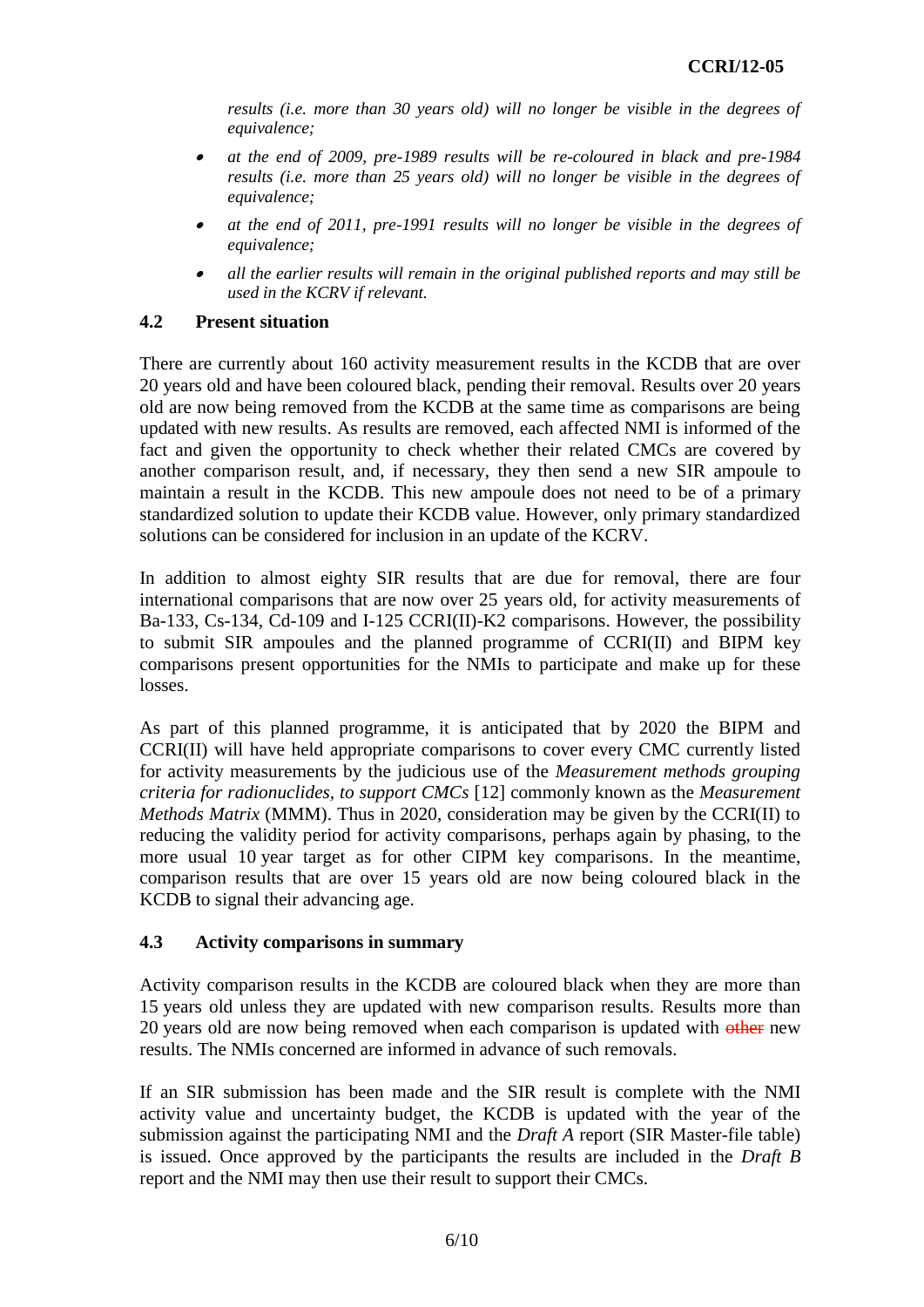*results (i.e. more than 30 years old) will no longer be visible in the degrees of equivalence;*

- . *at the end of 2009, pre-1989 results will be re-coloured in black and pre-1984 results (i.e. more than 25 years old) will no longer be visible in the degrees of equivalence;*
- . *at the end of 2011, pre-1991 results will no longer be visible in the degrees of equivalence;*
- . *all the earlier results will remain in the original published reports and may still be used in the KCRV if relevant.*

### **4.2 Present situation**

There are currently about 160 activity measurement results in the KCDB that are over 20 years old and have been coloured black, pending their removal. Results over 20 years old are now being removed from the KCDB at the same time as comparisons are being updated with new results. As results are removed, each affected NMI is informed of the fact and given the opportunity to check whether their related CMCs are covered by another comparison result, and, if necessary, they then send a new SIR ampoule to maintain a result in the KCDB. This new ampoule does not need to be of a primary standardized solution to update their KCDB value. However, only primary standardized solutions can be considered for inclusion in an update of the KCRV.

In addition to almost eighty SIR results that are due for removal, there are four international comparisons that are now over 25 years old, for activity measurements of Ba-133, Cs-134, Cd-109 and I-125 CCRI(II)-K2 comparisons. However, the possibility to submit SIR ampoules and the planned programme of CCRI(II) and BIPM key comparisons present opportunities for the NMIs to participate and make up for these losses.

As part of this planned programme, it is anticipated that by 2020 the BIPM and CCRI(II) will have held appropriate comparisons to cover every CMC currently listed for activity measurements by the judicious use of the *Measurement methods grouping criteria for radionuclides, to support CMCs* [\[12\]](#page-9-11) commonly known as the *Measurement Methods Matrix* (MMM). Thus in 2020, consideration may be given by the CCRI(II) to reducing the validity period for activity comparisons, perhaps again by phasing, to the more usual 10 year target as for other CIPM key comparisons. In the meantime, comparison results that are over 15 years old are now being coloured black in the KCDB to signal their advancing age.

#### **4.3 Activity comparisons in summary**

Activity comparison results in the KCDB are coloured black when they are more than 15 years old unless they are updated with new comparison results. Results more than 20 years old are now being removed when each comparison is updated with other new results. The NMIs concerned are informed in advance of such removals.

If an SIR submission has been made and the SIR result is complete with the NMI activity value and uncertainty budget, the KCDB is updated with the year of the submission against the participating NMI and the *Draft A* report (SIR Master-file table) is issued. Once approved by the participants the results are included in the *Draft B* report and the NMI may then use their result to support their CMCs.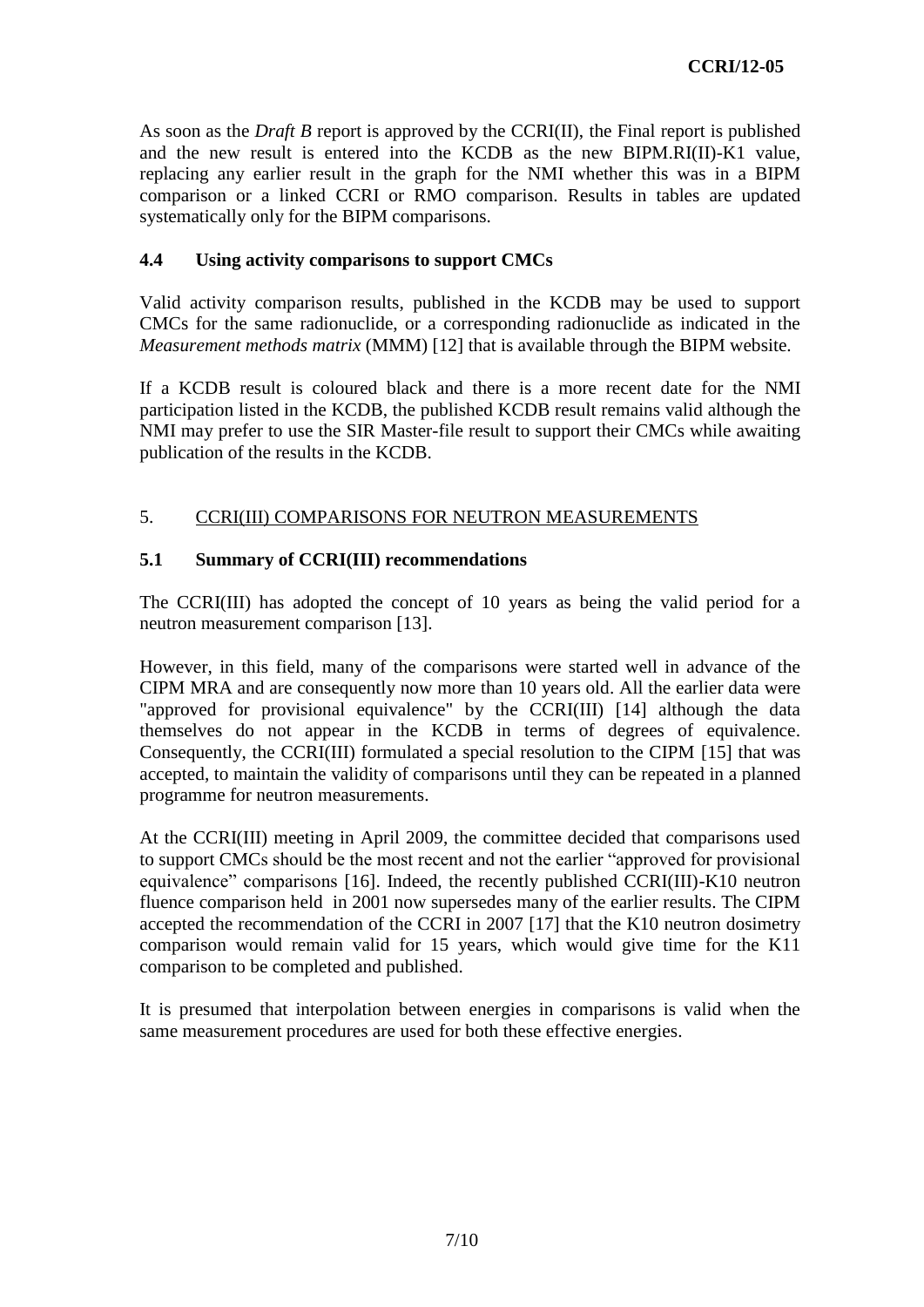As soon as the *Draft B* report is approved by the CCRI(II), the Final report is published and the new result is entered into the KCDB as the new BIPM.RI(II)-K1 value, replacing any earlier result in the graph for the NMI whether this was in a BIPM comparison or a linked CCRI or RMO comparison. Results in tables are updated systematically only for the BIPM comparisons.

# **4.4 Using activity comparisons to support CMCs**

Valid activity comparison results, published in the KCDB may be used to support CMCs for the same radionuclide, or a corresponding radionuclide as indicated in the *Measurement methods matrix* (MMM) [\[12\]](#page-9-11) that is available through the BIPM website.

If a KCDB result is coloured black and there is a more recent date for the NMI participation listed in the KCDB, the published KCDB result remains valid although the NMI may prefer to use the SIR Master-file result to support their CMCs while awaiting publication of the results in the KCDB.

# 5. CCRI(III) COMPARISONS FOR NEUTRON MEASUREMENTS

# **5.1 Summary of CCRI(III) recommendations**

The CCRI(III) has adopted the concept of 10 years as being the valid period for a neutron measurement comparison [\[13\].](#page-9-12)

However, in this field, many of the comparisons were started well in advance of the CIPM MRA and are consequently now more than 10 years old. All the earlier data were "approved for provisional equivalence" by the CCRI(III) [\[14\]](#page-9-13) although the data themselves do not appear in the KCDB in terms of degrees of equivalence. Consequently, the CCRI(III) formulated a special resolution to the CIPM [\[15\]](#page-9-14) that was accepted, to maintain the validity of comparisons until they can be repeated in a planned programme for neutron measurements.

At the CCRI(III) meeting in April 2009, the committee decided that comparisons used to support CMCs should be the most recent and not the earlier "approved for provisional equivalence" comparisons [\[16\].](#page-9-15) Indeed, the recently published CCRI(III)-K10 neutron fluence comparison held in 2001 now supersedes many of the earlier results. The CIPM accepted the recommendation of the CCRI in 2007 [\[17\]](#page-9-16) that the K10 neutron dosimetry comparison would remain valid for 15 years, which would give time for the K11 comparison to be completed and published.

It is presumed that interpolation between energies in comparisons is valid when the same measurement procedures are used for both these effective energies.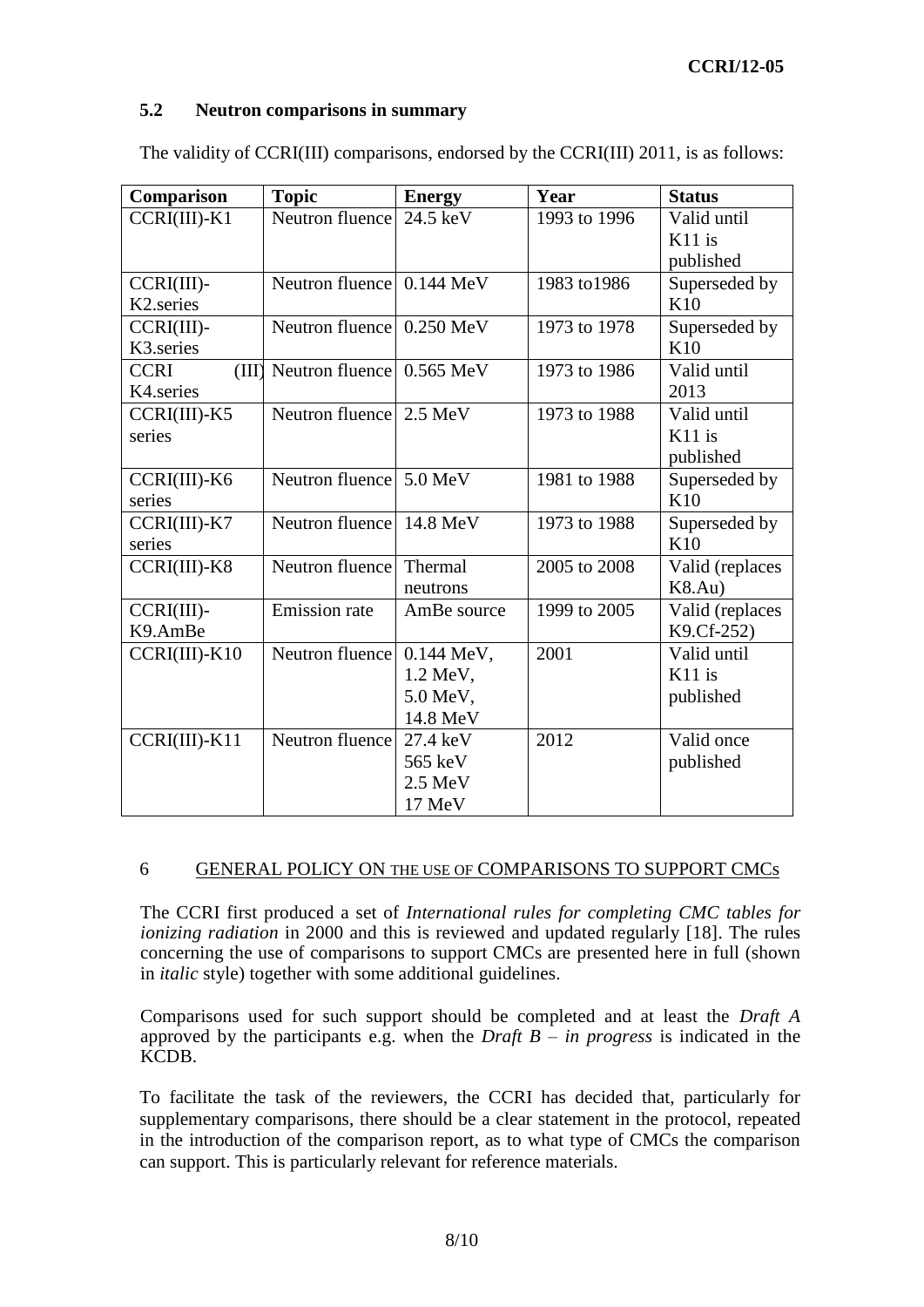# **CCRI/12-05**

### **5.2 Neutron comparisons in summary**

| Comparison             | <b>Topic</b>                      | <b>Energy</b>     | Year         | <b>Status</b>   |
|------------------------|-----------------------------------|-------------------|--------------|-----------------|
| $CCRI(III) - K1$       | Neutron fluence 24.5 keV          |                   | 1993 to 1996 | Valid until     |
|                        |                                   |                   |              | K11 is          |
|                        |                                   |                   |              | published       |
| $CCRI(III)$ -          | Neutron fluence 0.144 MeV         |                   | 1983 to 1986 | Superseded by   |
| K <sub>2</sub> .series |                                   |                   |              | K10             |
| $CCRI(III)$ -          | Neutron fluence 0.250 MeV         |                   | 1973 to 1978 | Superseded by   |
| K3.series              |                                   |                   |              | K10             |
| <b>CCRI</b>            | $(III)$ Neutron fluence 0.565 MeV |                   | 1973 to 1986 | Valid until     |
| K4.series              |                                   |                   |              | 2013            |
| $CCRI(III)$ -K5        | Neutron fluence 2.5 MeV           |                   | 1973 to 1988 | Valid until     |
| series                 |                                   |                   |              | $K11$ is        |
|                        |                                   |                   |              | published       |
| CCRI(III)-K6           | Neutron fluence 5.0 MeV           |                   | 1981 to 1988 | Superseded by   |
| series                 |                                   |                   |              | K10             |
| $CCRI(III)$ - $K7$     | Neutron fluence                   | 14.8 MeV          | 1973 to 1988 | Superseded by   |
| series                 |                                   |                   |              | K10             |
| CCRI(III)-K8           | Neutron fluence                   | Thermal           | 2005 to 2008 | Valid (replaces |
|                        |                                   | neutrons          |              | K8.Au)          |
| $CCRI(III)$ -          | <b>Emission</b> rate              | AmBe source       | 1999 to 2005 | Valid (replaces |
| K9.AmBe                |                                   |                   |              | K9.Cf-252)      |
| $CCRI(III) - K10$      | Neutron fluence                   | $0.144$ MeV,      | 2001         | Valid until     |
|                        |                                   | 1.2 MeV,          |              | $K11$ is        |
|                        |                                   | 5.0 MeV,          |              | published       |
|                        |                                   | 14.8 MeV          |              |                 |
| $CCRI(III)$ - $K11$    | Neutron fluence                   | 27.4 keV          | 2012         | Valid once      |
|                        |                                   | 565 keV           |              | published       |
|                        |                                   | $2.5 \text{ MeV}$ |              |                 |
|                        |                                   | 17 MeV            |              |                 |

The validity of CCRI(III) comparisons, endorsed by the CCRI(III) 2011, is as follows:

#### 6 GENERAL POLICY ON THE USE OF COMPARISONS TO SUPPORT CMCs

The CCRI first produced a set of *International rules for completing CMC tables for ionizing radiation* in 2000 and this is reviewed and updated regularly [\[18\].](#page-9-17) The rules concerning the use of comparisons to support CMCs are presented here in full (shown in *italic* style) together with some additional guidelines.

Comparisons used for such support should be completed and at least the *Draft A*  approved by the participants e.g. when the *Draft B – in progress* is indicated in the KCDB.

To facilitate the task of the reviewers, the CCRI has decided that, particularly for supplementary comparisons, there should be a clear statement in the protocol, repeated in the introduction of the comparison report, as to what type of CMCs the comparison can support. This is particularly relevant for reference materials.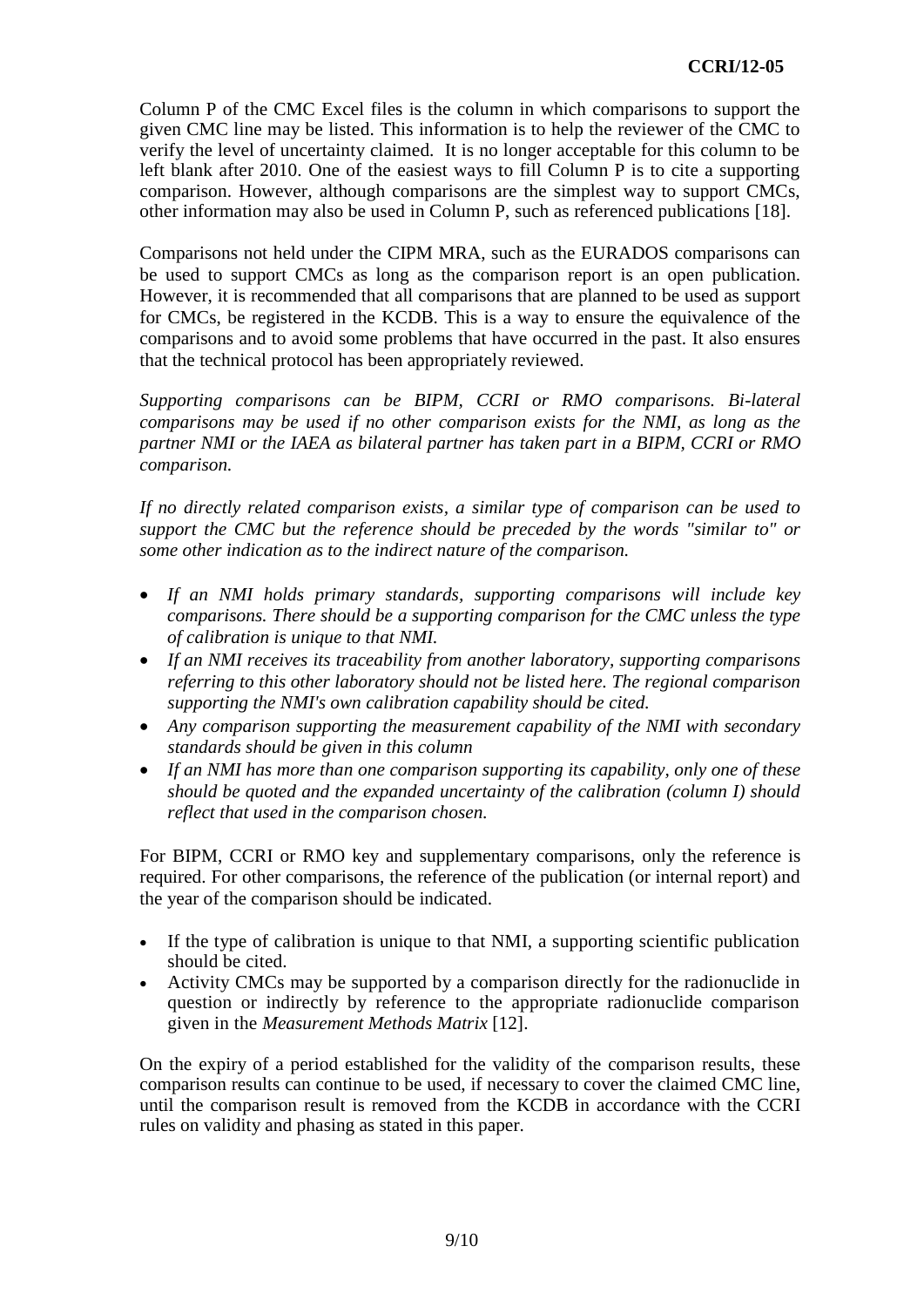Column P of the CMC Excel files is the column in which comparisons to support the given CMC line may be listed. This information is to help the reviewer of the CMC to verify the level of uncertainty claimed. It is no longer acceptable for this column to be left blank after 2010. One of the easiest ways to fill Column P is to cite a supporting comparison. However, although comparisons are the simplest way to support CMCs, other information may also be used in Column P, such as referenced publications [\[18\].](#page-9-17)

Comparisons not held under the CIPM MRA, such as the EURADOS comparisons can be used to support CMCs as long as the comparison report is an open publication. However, it is recommended that all comparisons that are planned to be used as support for CMCs, be registered in the KCDB. This is a way to ensure the equivalence of the comparisons and to avoid some problems that have occurred in the past. It also ensures that the technical protocol has been appropriately reviewed.

*Supporting comparisons can be BIPM, CCRI or RMO comparisons. Bi-lateral comparisons may be used if no other comparison exists for the NMI, as long as the partner NMI or the IAEA as bilateral partner has taken part in a BIPM, CCRI or RMO comparison.* 

*If no directly related comparison exists, a similar type of comparison can be used to support the CMC but the reference should be preceded by the words "similar to" or some other indication as to the indirect nature of the comparison.* 

- *If an NMI holds primary standards, supporting comparisons will include key comparisons. There should be a supporting comparison for the CMC unless the type of calibration is unique to that NMI.*
- *If an NMI receives its traceability from another laboratory, supporting comparisons referring to this other laboratory should not be listed here. The regional comparison supporting the NMI's own calibration capability should be cited.*
- *Any comparison supporting the measurement capability of the NMI with secondary standards should be given in this column*
- *If an NMI has more than one comparison supporting its capability, only one of these should be quoted and the expanded uncertainty of the calibration (column I) should reflect that used in the comparison chosen.*

For BIPM, CCRI or RMO key and supplementary comparisons, only the reference is required. For other comparisons, the reference of the publication (or internal report) and the year of the comparison should be indicated.

- If the type of calibration is unique to that NMI, a supporting scientific publication should be cited.
- Activity CMCs may be supported by a comparison directly for the radionuclide in question or indirectly by reference to the appropriate radionuclide comparison given in the *Measurement Methods Matrix* [\[12\].](#page-9-11)

On the expiry of a period established for the validity of the comparison results, these comparison results can continue to be used, if necessary to cover the claimed CMC line, until the comparison result is removed from the KCDB in accordance with the CCRI rules on validity and phasing as stated in this paper.